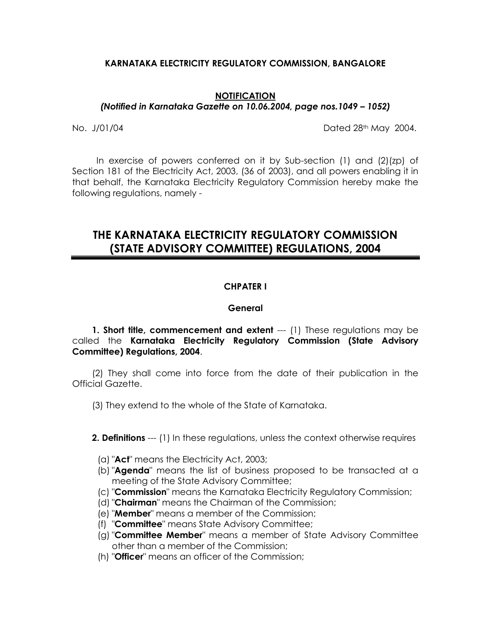# **KARNATAKA ELECTRICITY REGULATORY COMMISSION, BANGALORE**

#### **NOTIFICATION** *(Notified in Karnataka Gazette on 10.06.2004, page nos.1049 – 1052)*

No. J/01/04 Dated 28th May 2004.

 In exercise of powers conferred on it by Sub-section (1) and (2)(zp) of Section 181 of the Electricity Act, 2003, (36 of 2003), and all powers enabling it in that behalf, the Karnataka Electricity Regulatory Commission hereby make the following regulations, namely -

# **THE KARNATAKA ELECTRICITY REGULATORY COMMISSION (STATE ADVISORY COMMITTEE) REGULATIONS, 2004**

# **CHPATER I**

### **General**

**1. Short title, commencement and extent** --- (1) These regulations may be called the **Karnataka Electricity Regulatory Commission (State Advisory Committee) Regulations, 2004**.

(2) They shall come into force from the date of their publication in the Official Gazette.

(3) They extend to the whole of the State of Karnataka.

**2. Definitions** --- (1) In these regulations, unless the context otherwise requires

- (a) "**Act**" means the Electricity Act, 2003;
- (b) "**Agenda**" means the list of business proposed to be transacted at a meeting of the State Advisory Committee;
- (c) "**Commission**" means the Karnataka Electricity Regulatory Commission;
- (d) "**Chairman**" means the Chairman of the Commission;
- (e) "**Member**" means a member of the Commission;
- (f) "**Committee**" means State Advisory Committee;
- (g) "**Committee Member**" means a member of State Advisory Committee other than a member of the Commission;
- (h) "**Officer**" means an officer of the Commission;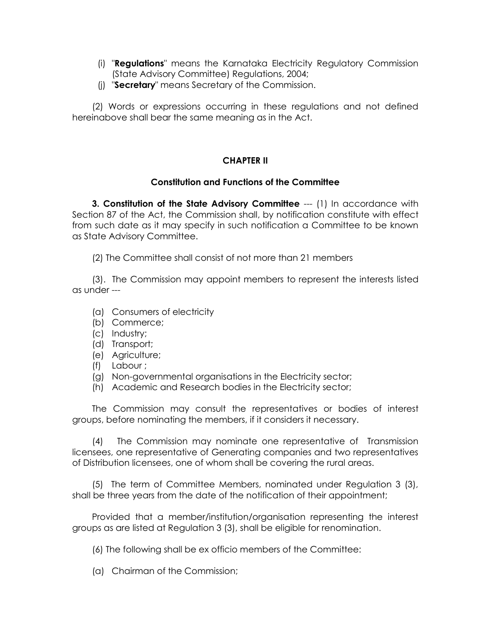- (i) "**Regulations**" means the Karnataka Electricity Regulatory Commission (State Advisory Committee) Regulations, 2004;
- (j) "**Secretary**" means Secretary of the Commission.

(2) Words or expressions occurring in these regulations and not defined hereinabove shall bear the same meaning as in the Act.

# **CHAPTER II**

# **Constitution and Functions of the Committee**

**3. Constitution of the State Advisory Committee** --- (1) In accordance with Section 87 of the Act, the Commission shall, by notification constitute with effect from such date as it may specify in such notification a Committee to be known as State Advisory Committee.

(2) The Committee shall consist of not more than 21 members

(3). The Commission may appoint members to represent the interests listed as under ---

- (a) Consumers of electricity
- (b) Commerce;
- (c) Industry;
- (d) Transport;
- (e) Agriculture;
- (f) Labour ;
- (g) Non-governmental organisations in the Electricity sector;
- (h) Academic and Research bodies in the Electricity sector;

The Commission may consult the representatives or bodies of interest groups, before nominating the members, if it considers it necessary.

(4) The Commission may nominate one representative of Transmission licensees, one representative of Generating companies and two representatives of Distribution licensees, one of whom shall be covering the rural areas.

(5) The term of Committee Members, nominated under Regulation 3 (3), shall be three years from the date of the notification of their appointment;

Provided that a member/institution/organisation representing the interest groups as are listed at Regulation 3 (3), shall be eligible for renomination.

(6) The following shall be ex officio members of the Committee:

(a) Chairman of the Commission;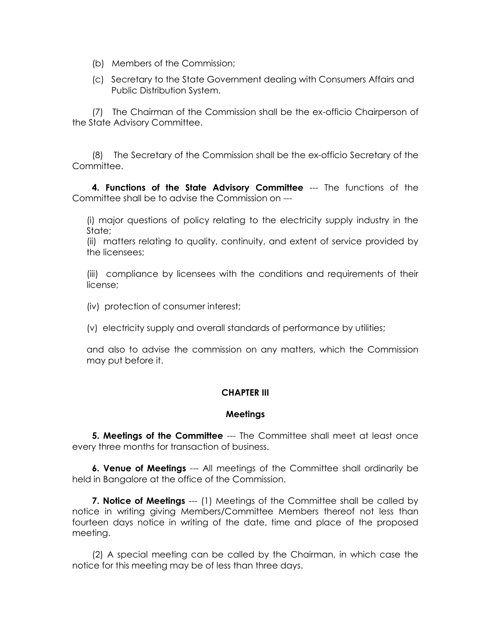- (b) Members of the Commission;
- (c) Secretary to the State Government dealing with Consumers Affairs and Public Distribution System.

(7) The Chairman of the Commission shall be the ex-officio Chairperson of the State Advisory Committee.

(8) The Secretary of the Commission shall be the ex-officio Secretary of the Committee.

**4. Functions of the State Advisory Committee** --- The functions of the Committee shall be to advise the Commission on ---

(i) major questions of policy relating to the electricity supply industry in the State;

(ii) matters relating to quality, continuity, and extent of service provided by the licensees;

(iii) compliance by licensees with the conditions and requirements of their license;

(iv) protection of consumer interest;

(v) electricity supply and overall standards of performance by utilities;

and also to advise the commission on any matters, which the Commission may put before it.

# **CHAPTER III**

### **Meetings**

**5. Meetings of the Committee** --- The Committee shall meet at least once every three months for transaction of business.

**6. Venue of Meetings** --- All meetings of the Committee shall ordinarily be held in Bangalore at the office of the Commission.

**7. Notice of Meetings** --- (1) Meetings of the Committee shall be called by notice in writing giving Members/Committee Members thereof not less than fourteen days notice in writing of the date, time and place of the proposed meeting.

(2) A special meeting can be called by the Chairman, in which case the notice for this meeting may be of less than three days.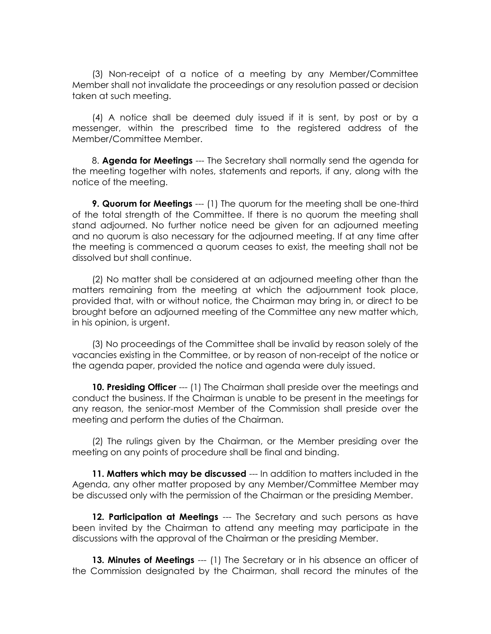(3) Non-receipt of a notice of a meeting by any Member/Committee Member shall not invalidate the proceedings or any resolution passed or decision taken at such meeting.

(4) A notice shall be deemed duly issued if it is sent, by post or by a messenger, within the prescribed time to the registered address of the Member/Committee Member.

8. **Agenda for Meetings** --- The Secretary shall normally send the agenda for the meeting together with notes, statements and reports, if any, along with the notice of the meeting.

**9. Quorum for Meetings** --- (1) The quorum for the meeting shall be one-third of the total strength of the Committee. If there is no quorum the meeting shall stand adjourned. No further notice need be given for an adjourned meeting and no quorum is also necessary for the adjourned meeting. If at any time after the meeting is commenced a quorum ceases to exist, the meeting shall not be dissolved but shall continue.

(2) No matter shall be considered at an adjourned meeting other than the matters remaining from the meeting at which the adjournment took place, provided that, with or without notice, the Chairman may bring in, or direct to be brought before an adjourned meeting of the Committee any new matter which, in his opinion, is urgent.

(3) No proceedings of the Committee shall be invalid by reason solely of the vacancies existing in the Committee, or by reason of non-receipt of the notice or the agenda paper, provided the notice and agenda were duly issued.

**10. Presiding Officer** --- (1) The Chairman shall preside over the meetings and conduct the business. If the Chairman is unable to be present in the meetings for any reason, the senior-most Member of the Commission shall preside over the meeting and perform the duties of the Chairman.

(2) The rulings given by the Chairman, or the Member presiding over the meeting on any points of procedure shall be final and binding.

**11. Matters which may be discussed** --- In addition to matters included in the Agenda, any other matter proposed by any Member/Committee Member may be discussed only with the permission of the Chairman or the presiding Member.

**12. Participation at Meetings** --- The Secretary and such persons as have been invited by the Chairman to attend any meeting may participate in the discussions with the approval of the Chairman or the presiding Member.

**13. Minutes of Meetings** --- (1) The Secretary or in his absence an officer of the Commission designated by the Chairman, shall record the minutes of the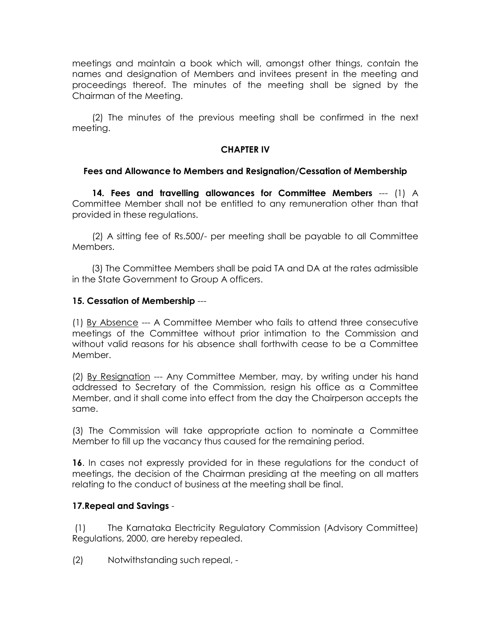meetings and maintain a book which will, amongst other things, contain the names and designation of Members and invitees present in the meeting and proceedings thereof. The minutes of the meeting shall be signed by the Chairman of the Meeting.

(2) The minutes of the previous meeting shall be confirmed in the next meeting.

# **CHAPTER IV**

# **Fees and Allowance to Members and Resignation/Cessation of Membership**

**14. Fees and travelling allowances for Committee Members** --- (1) A Committee Member shall not be entitled to any remuneration other than that provided in these regulations.

(2) A sitting fee of Rs.500/- per meeting shall be payable to all Committee Members.

 (3) The Committee Members shall be paid TA and DA at the rates admissible in the State Government to Group A officers.

# **15. Cessation of Membership** ---

(1) By Absence --- A Committee Member who fails to attend three consecutive meetings of the Committee without prior intimation to the Commission and without valid reasons for his absence shall forthwith cease to be a Committee Member.

(2) By Resignation --- Any Committee Member, may, by writing under his hand addressed to Secretary of the Commission, resign his office as a Committee Member, and it shall come into effect from the day the Chairperson accepts the same.

(3) The Commission will take appropriate action to nominate a Committee Member to fill up the vacancy thus caused for the remaining period.

**16**. In cases not expressly provided for in these regulations for the conduct of meetings, the decision of the Chairman presiding at the meeting on all matters relating to the conduct of business at the meeting shall be final.

### **17.Repeal and Savings** -

(1) The Karnataka Electricity Regulatory Commission (Advisory Committee) Regulations, 2000, are hereby repealed.

(2) Notwithstanding such repeal, -